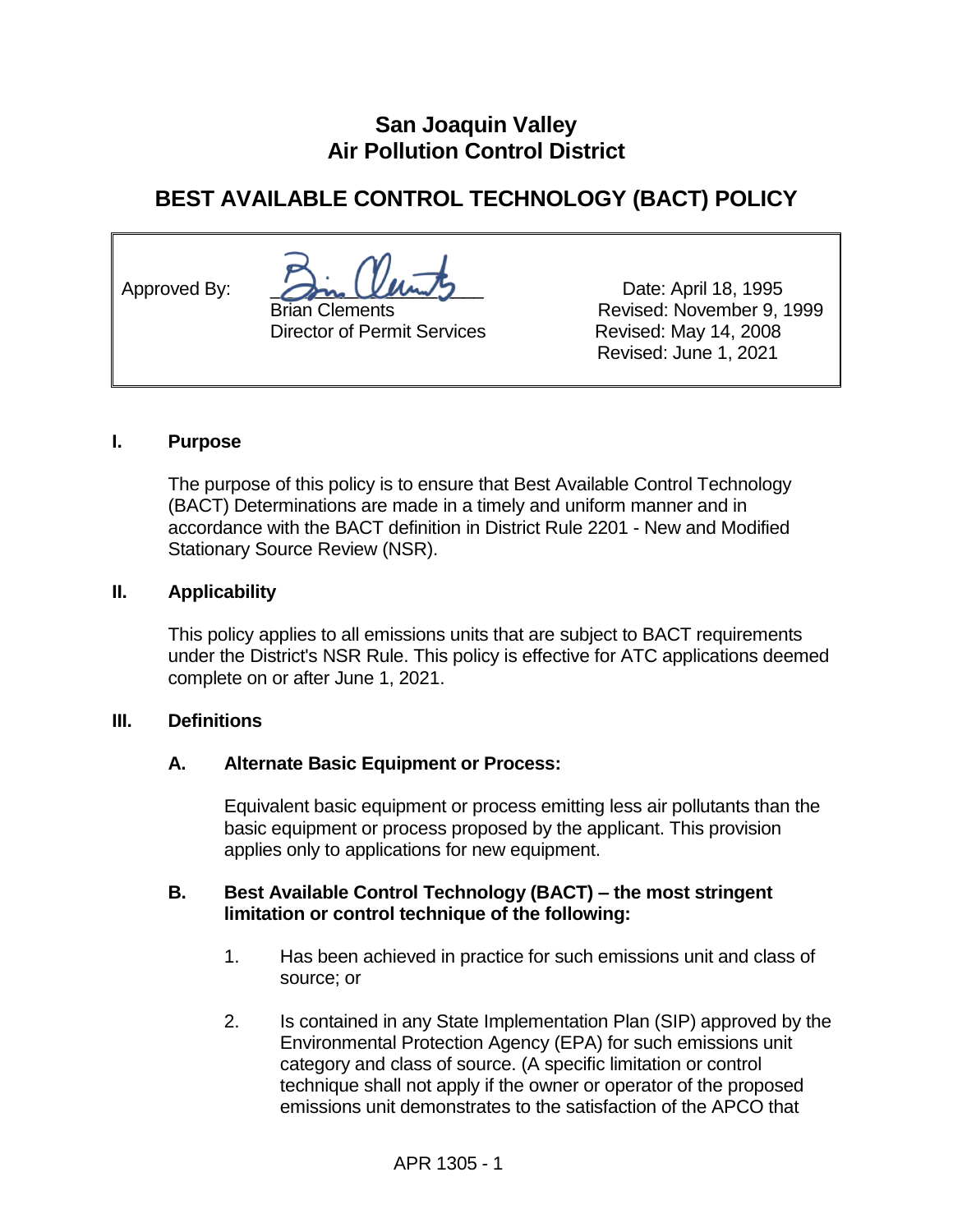## **San Joaquin Valley Air Pollution Control District**

# **BEST AVAILABLE CONTROL TECHNOLOGY (BACT) POLICY**

Approved By:  $\sqrt{2}m_e$   $\left(\sqrt{4}m_e/2\right)$  Date: April 18, 1995

Director of Permit Services Revised: May 14, 2008

 Brian Clements Revised: November 9, 1999 Revised: June 1, 2021

#### **I. Purpose**

The purpose of this policy is to ensure that Best Available Control Technology (BACT) Determinations are made in a timely and uniform manner and in accordance with the BACT definition in District Rule 2201 - New and Modified Stationary Source Review (NSR).

#### **II. Applicability**

This policy applies to all emissions units that are subject to BACT requirements under the District's NSR Rule. This policy is effective for ATC applications deemed complete on or after June 1, 2021.

#### **III. Definitions**

#### **A. Alternate Basic Equipment or Process:**

Equivalent basic equipment or process emitting less air pollutants than the basic equipment or process proposed by the applicant. This provision applies only to applications for new equipment.

#### **B. Best Available Control Technology (BACT) – the most stringent limitation or control technique of the following:**

- 1. Has been achieved in practice for such emissions unit and class of source; or
- 2. Is contained in any State Implementation Plan (SIP) approved by the Environmental Protection Agency (EPA) for such emissions unit category and class of source. (A specific limitation or control technique shall not apply if the owner or operator of the proposed emissions unit demonstrates to the satisfaction of the APCO that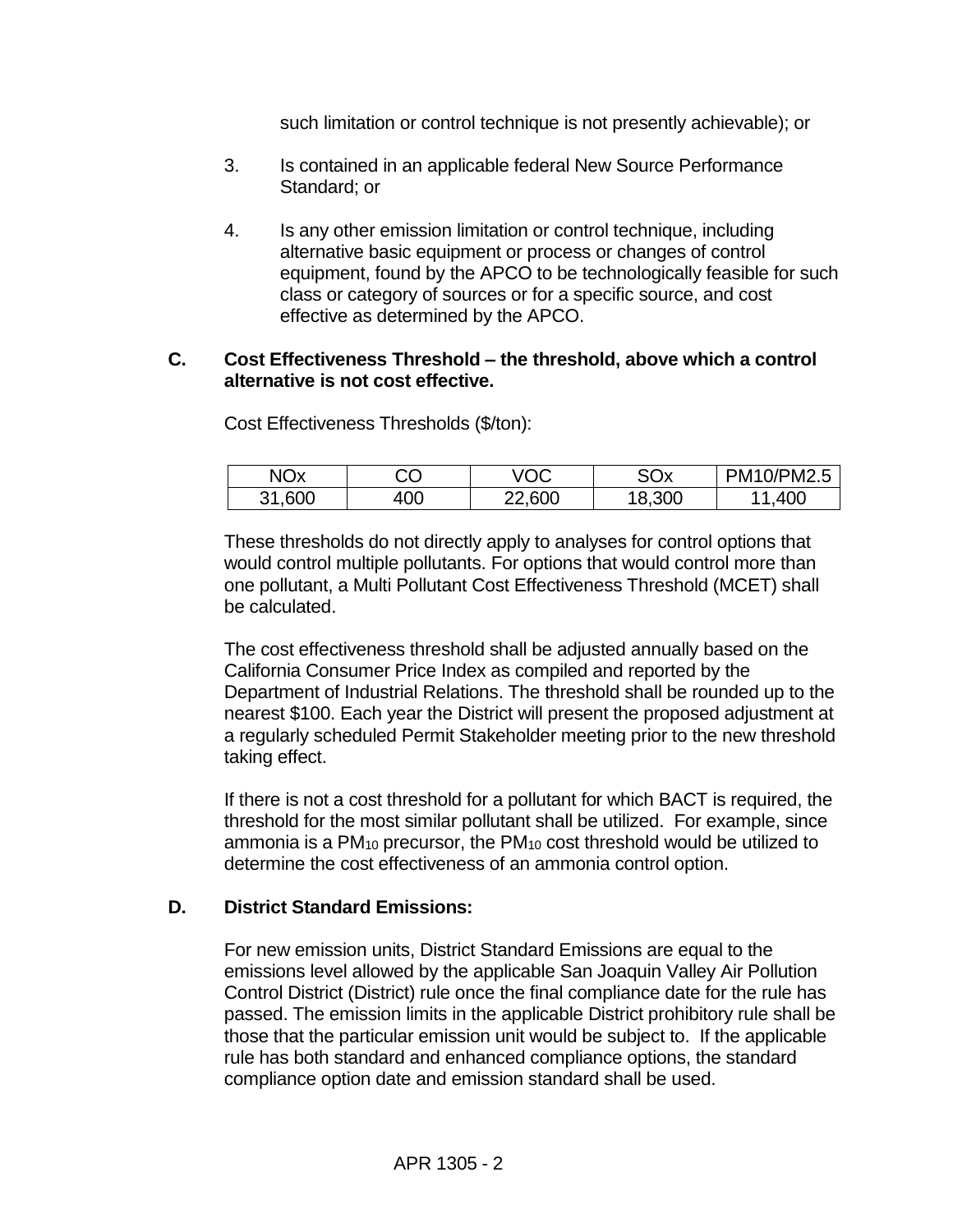such limitation or control technique is not presently achievable); or

- 3. Is contained in an applicable federal New Source Performance Standard; or
- 4. Is any other emission limitation or control technique, including alternative basic equipment or process or changes of control equipment, found by the APCO to be technologically feasible for such class or category of sources or for a specific source, and cost effective as determined by the APCO.

#### **C. Cost Effectiveness Threshold – the threshold, above which a control alternative is not cost effective.**

Cost Effectiveness Thresholds (\$/ton):

| <b>NOx</b> | יי<br>JU | /OC    | SOx    | PM10/PM2.5 |
|------------|----------|--------|--------|------------|
| ,600<br>21 | 400      | 22,600 | 18,300 | .400       |

These thresholds do not directly apply to analyses for control options that would control multiple pollutants. For options that would control more than one pollutant, a Multi Pollutant Cost Effectiveness Threshold (MCET) shall be calculated.

The cost effectiveness threshold shall be adjusted annually based on the California Consumer Price Index as compiled and reported by the Department of Industrial Relations. The threshold shall be rounded up to the nearest \$100. Each year the District will present the proposed adjustment at a regularly scheduled Permit Stakeholder meeting prior to the new threshold taking effect.

If there is not a cost threshold for a pollutant for which BACT is required, the threshold for the most similar pollutant shall be utilized. For example, since ammonia is a PM<sup>10</sup> precursor, the PM<sup>10</sup> cost threshold would be utilized to determine the cost effectiveness of an ammonia control option.

#### **D. District Standard Emissions:**

For new emission units, District Standard Emissions are equal to the emissions level allowed by the applicable San Joaquin Valley Air Pollution Control District (District) rule once the final compliance date for the rule has passed. The emission limits in the applicable District prohibitory rule shall be those that the particular emission unit would be subject to. If the applicable rule has both standard and enhanced compliance options, the standard compliance option date and emission standard shall be used.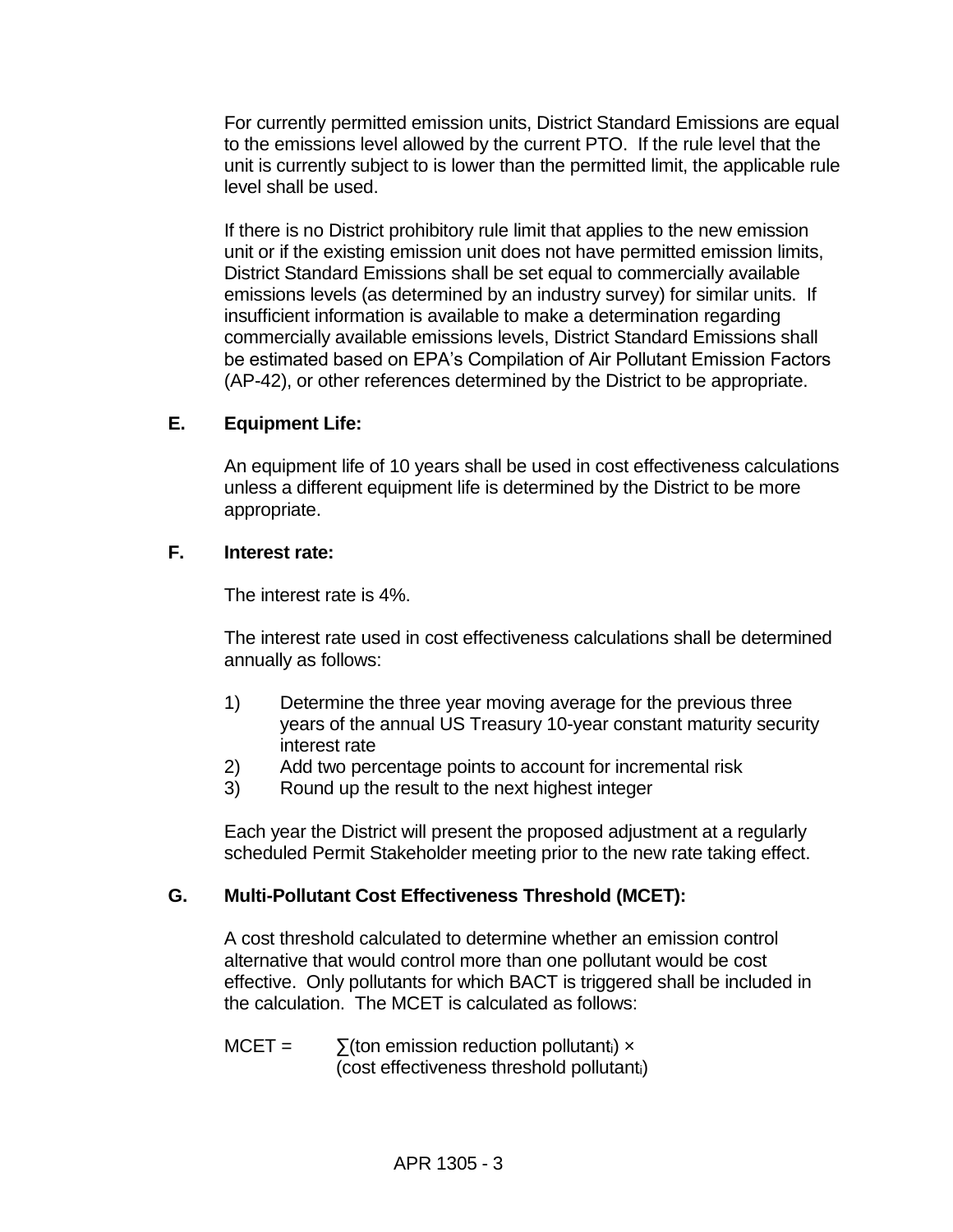For currently permitted emission units, District Standard Emissions are equal to the emissions level allowed by the current PTO. If the rule level that the unit is currently subject to is lower than the permitted limit, the applicable rule level shall be used.

If there is no District prohibitory rule limit that applies to the new emission unit or if the existing emission unit does not have permitted emission limits, District Standard Emissions shall be set equal to commercially available emissions levels (as determined by an industry survey) for similar units. If insufficient information is available to make a determination regarding commercially available emissions levels, District Standard Emissions shall be estimated based on EPA's Compilation of Air Pollutant Emission Factors (AP-42), or other references determined by the District to be appropriate.

#### **E. Equipment Life:**

An equipment life of 10 years shall be used in cost effectiveness calculations unless a different equipment life is determined by the District to be more appropriate.

#### **F. Interest rate:**

The interest rate is 4%.

The interest rate used in cost effectiveness calculations shall be determined annually as follows:

- 1) Determine the three year moving average for the previous three years of the annual US Treasury 10-year constant maturity security interest rate
- 2) Add two percentage points to account for incremental risk
- 3) Round up the result to the next highest integer

Each year the District will present the proposed adjustment at a regularly scheduled Permit Stakeholder meeting prior to the new rate taking effect.

### **G. Multi-Pollutant Cost Effectiveness Threshold (MCET):**

A cost threshold calculated to determine whether an emission control alternative that would control more than one pollutant would be cost effective. Only pollutants for which BACT is triggered shall be included in the calculation. The MCET is calculated as follows:

 $MCET = \sum$ (ton emission reduction pollutant<sub>i</sub>) x (cost effectiveness threshold pollutanti)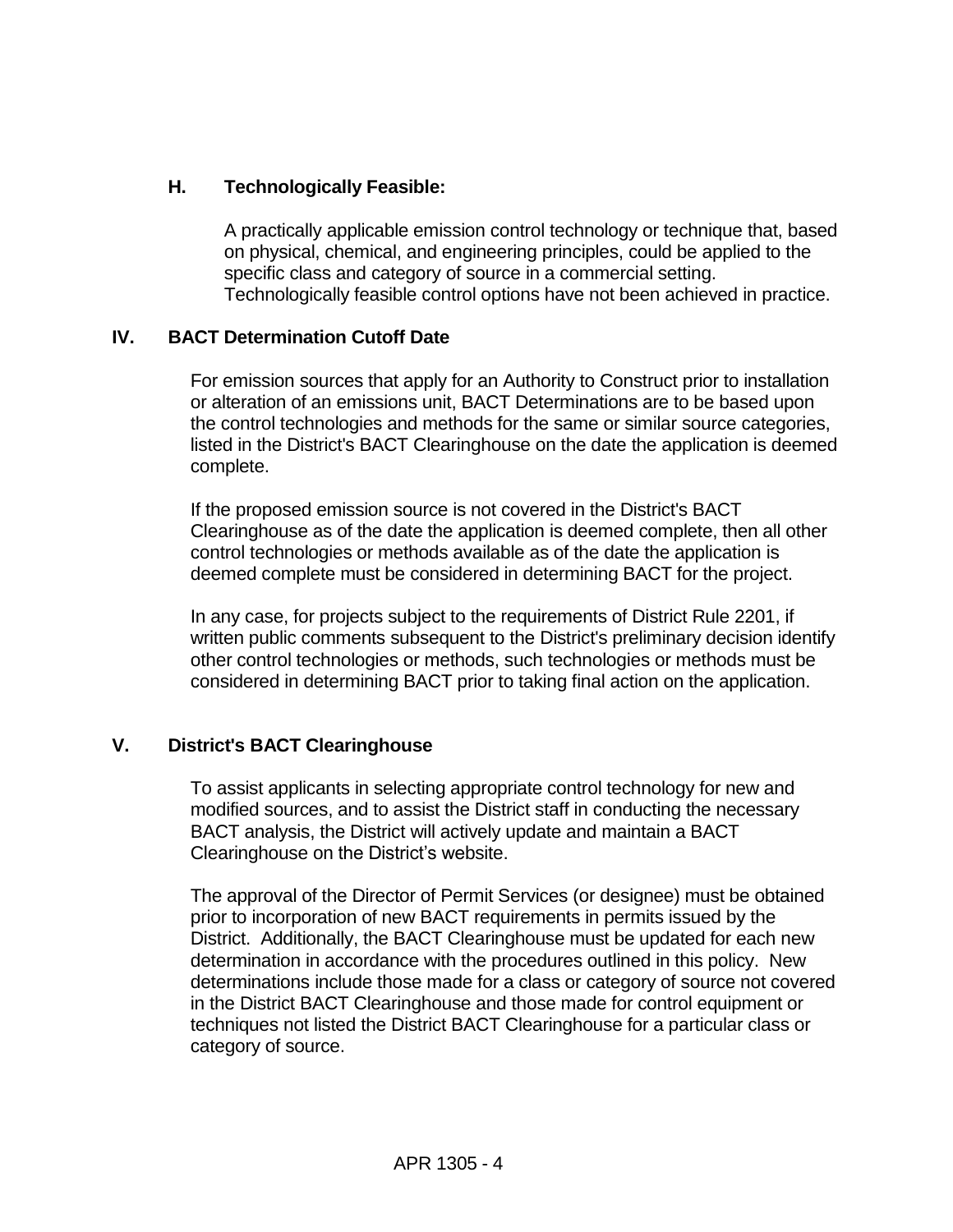### **H. Technologically Feasible:**

A practically applicable emission control technology or technique that, based on physical, chemical, and engineering principles, could be applied to the specific class and category of source in a commercial setting. Technologically feasible control options have not been achieved in practice.

#### **IV. BACT Determination Cutoff Date**

For emission sources that apply for an Authority to Construct prior to installation or alteration of an emissions unit, BACT Determinations are to be based upon the control technologies and methods for the same or similar source categories, listed in the District's BACT Clearinghouse on the date the application is deemed complete.

If the proposed emission source is not covered in the District's BACT Clearinghouse as of the date the application is deemed complete, then all other control technologies or methods available as of the date the application is deemed complete must be considered in determining BACT for the project.

In any case, for projects subject to the requirements of District Rule 2201, if written public comments subsequent to the District's preliminary decision identify other control technologies or methods, such technologies or methods must be considered in determining BACT prior to taking final action on the application.

#### **V. District's BACT Clearinghouse**

To assist applicants in selecting appropriate control technology for new and modified sources, and to assist the District staff in conducting the necessary BACT analysis, the District will actively update and maintain a BACT Clearinghouse on the District's website.

The approval of the Director of Permit Services (or designee) must be obtained prior to incorporation of new BACT requirements in permits issued by the District. Additionally, the BACT Clearinghouse must be updated for each new determination in accordance with the procedures outlined in this policy. New determinations include those made for a class or category of source not covered in the District BACT Clearinghouse and those made for control equipment or techniques not listed the District BACT Clearinghouse for a particular class or category of source.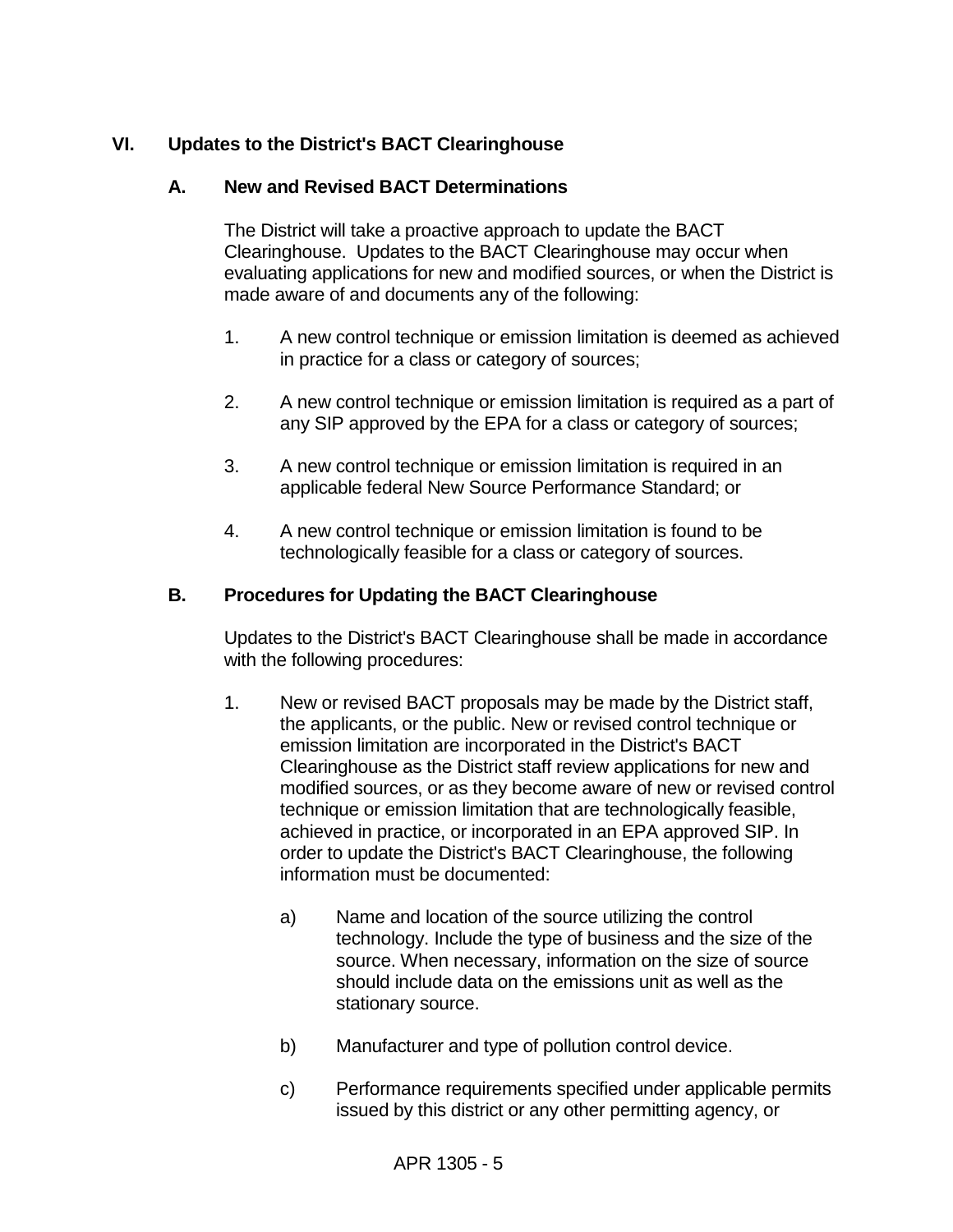### **VI. Updates to the District's BACT Clearinghouse**

#### **A. New and Revised BACT Determinations**

The District will take a proactive approach to update the BACT Clearinghouse. Updates to the BACT Clearinghouse may occur when evaluating applications for new and modified sources, or when the District is made aware of and documents any of the following:

- 1. A new control technique or emission limitation is deemed as achieved in practice for a class or category of sources;
- 2. A new control technique or emission limitation is required as a part of any SIP approved by the EPA for a class or category of sources;
- 3. A new control technique or emission limitation is required in an applicable federal New Source Performance Standard; or
- 4. A new control technique or emission limitation is found to be technologically feasible for a class or category of sources.

#### **B. Procedures for Updating the BACT Clearinghouse**

Updates to the District's BACT Clearinghouse shall be made in accordance with the following procedures:

- 1. New or revised BACT proposals may be made by the District staff, the applicants, or the public. New or revised control technique or emission limitation are incorporated in the District's BACT Clearinghouse as the District staff review applications for new and modified sources, or as they become aware of new or revised control technique or emission limitation that are technologically feasible, achieved in practice, or incorporated in an EPA approved SIP. In order to update the District's BACT Clearinghouse, the following information must be documented:
	- a) Name and location of the source utilizing the control technology. Include the type of business and the size of the source. When necessary, information on the size of source should include data on the emissions unit as well as the stationary source.
	- b) Manufacturer and type of pollution control device.
	- c) Performance requirements specified under applicable permits issued by this district or any other permitting agency, or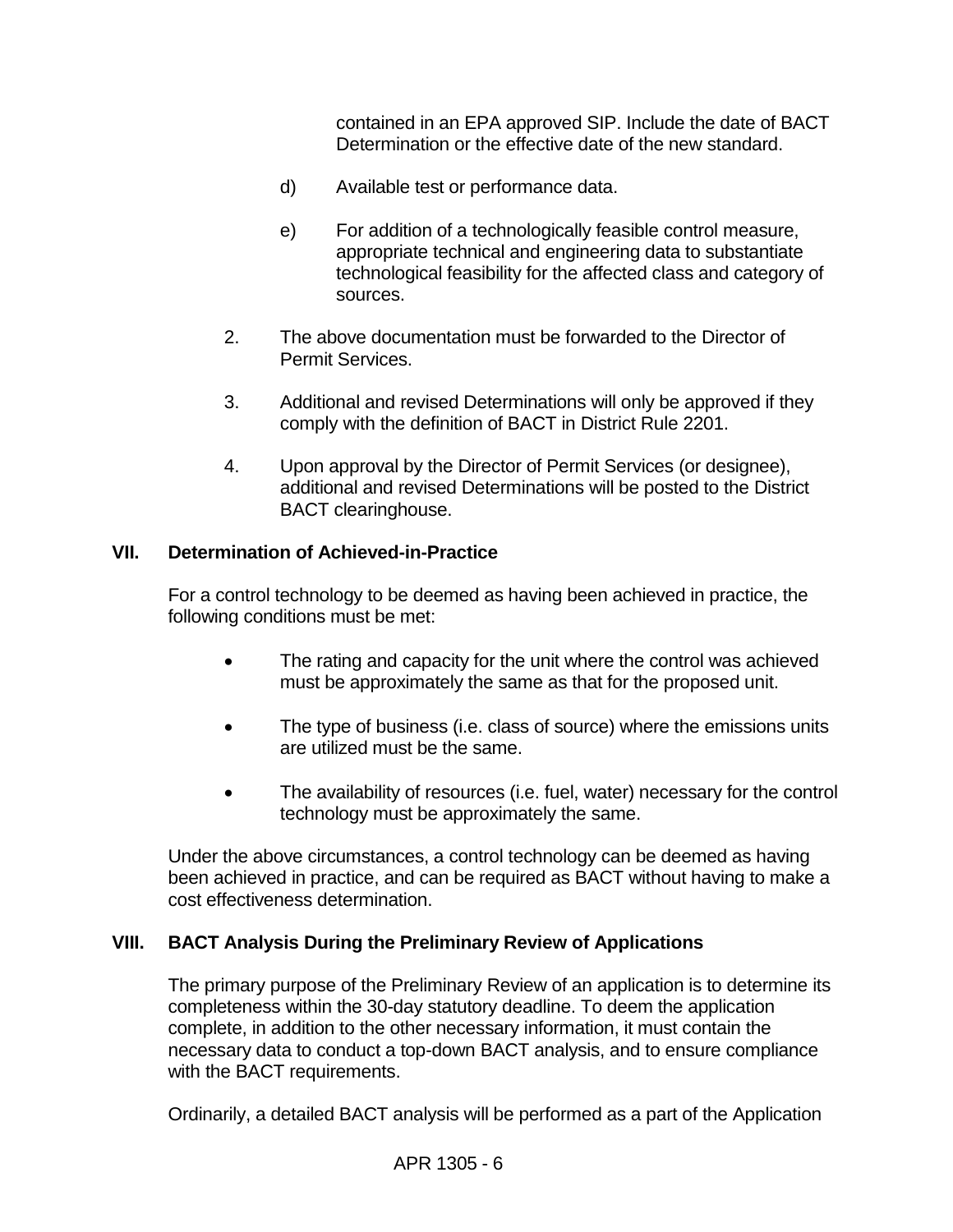contained in an EPA approved SIP. Include the date of BACT Determination or the effective date of the new standard.

- d) Available test or performance data.
- e) For addition of a technologically feasible control measure, appropriate technical and engineering data to substantiate technological feasibility for the affected class and category of sources.
- 2. The above documentation must be forwarded to the Director of Permit Services.
- 3. Additional and revised Determinations will only be approved if they comply with the definition of BACT in District Rule 2201.
- 4. Upon approval by the Director of Permit Services (or designee), additional and revised Determinations will be posted to the District BACT clearinghouse.

#### **VII. Determination of Achieved-in-Practice**

For a control technology to be deemed as having been achieved in practice, the following conditions must be met:

- The rating and capacity for the unit where the control was achieved must be approximately the same as that for the proposed unit.
- The type of business (i.e. class of source) where the emissions units are utilized must be the same.
- The availability of resources (i.e. fuel, water) necessary for the control technology must be approximately the same.

Under the above circumstances, a control technology can be deemed as having been achieved in practice, and can be required as BACT without having to make a cost effectiveness determination.

#### **VIII. BACT Analysis During the Preliminary Review of Applications**

The primary purpose of the Preliminary Review of an application is to determine its completeness within the 30-day statutory deadline. To deem the application complete, in addition to the other necessary information, it must contain the necessary data to conduct a top-down BACT analysis, and to ensure compliance with the BACT requirements.

Ordinarily, a detailed BACT analysis will be performed as a part of the Application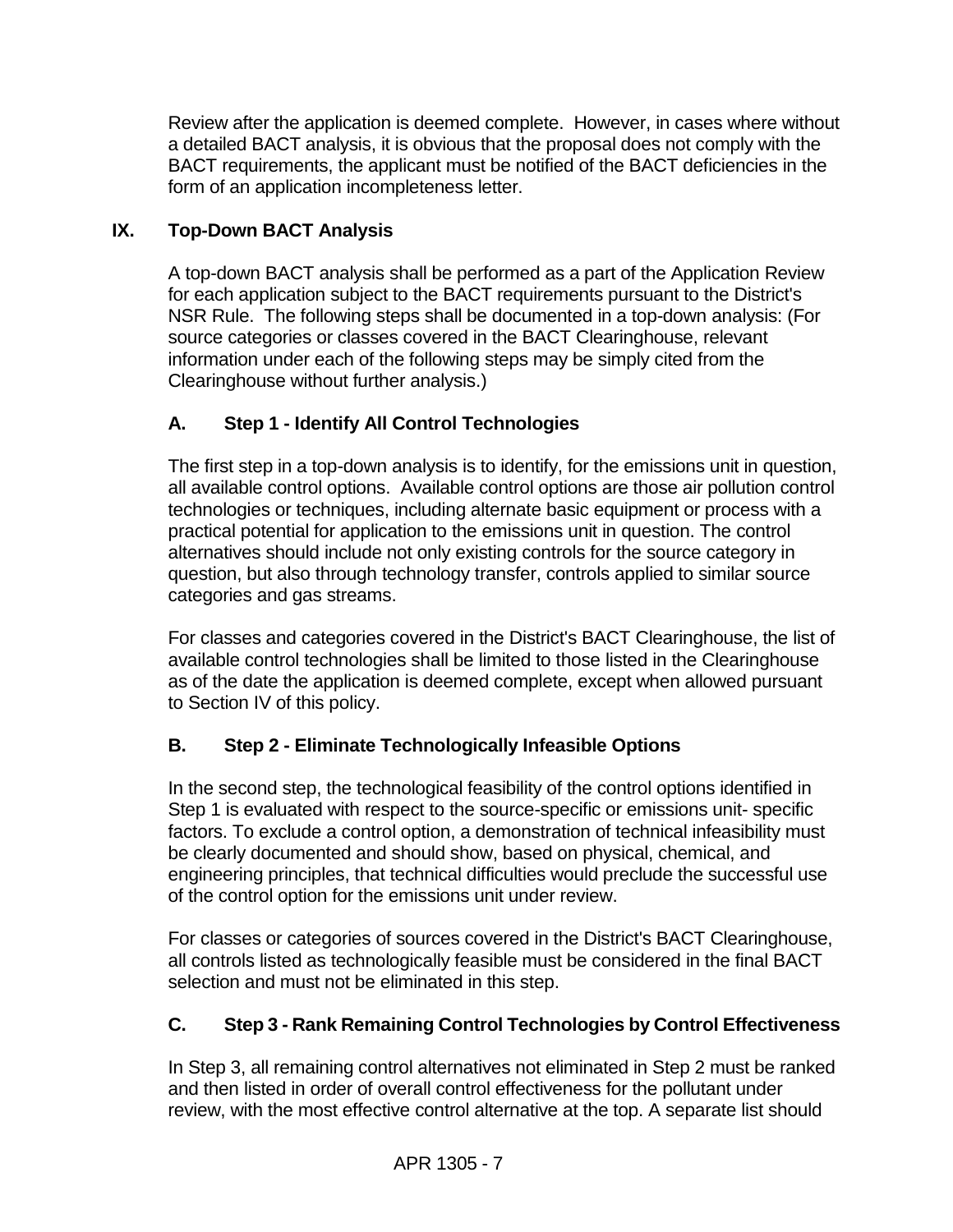Review after the application is deemed complete. However, in cases where without a detailed BACT analysis, it is obvious that the proposal does not comply with the BACT requirements, the applicant must be notified of the BACT deficiencies in the form of an application incompleteness letter.

### **IX. Top-Down BACT Analysis**

A top-down BACT analysis shall be performed as a part of the Application Review for each application subject to the BACT requirements pursuant to the District's NSR Rule. The following steps shall be documented in a top-down analysis: (For source categories or classes covered in the BACT Clearinghouse, relevant information under each of the following steps may be simply cited from the Clearinghouse without further analysis.)

## **A. Step 1 - Identify All Control Technologies**

The first step in a top-down analysis is to identify, for the emissions unit in question, all available control options. Available control options are those air pollution control technologies or techniques, including alternate basic equipment or process with a practical potential for application to the emissions unit in question. The control alternatives should include not only existing controls for the source category in question, but also through technology transfer, controls applied to similar source categories and gas streams.

For classes and categories covered in the District's BACT Clearinghouse, the list of available control technologies shall be limited to those listed in the Clearinghouse as of the date the application is deemed complete, except when allowed pursuant to Section IV of this policy.

### **B. Step 2 - Eliminate Technologically Infeasible Options**

In the second step, the technological feasibility of the control options identified in Step 1 is evaluated with respect to the source-specific or emissions unit- specific factors. To exclude a control option, a demonstration of technical infeasibility must be clearly documented and should show, based on physical, chemical, and engineering principles, that technical difficulties would preclude the successful use of the control option for the emissions unit under review.

For classes or categories of sources covered in the District's BACT Clearinghouse, all controls listed as technologically feasible must be considered in the final BACT selection and must not be eliminated in this step.

## **C. Step 3 - Rank Remaining Control Technologies by Control Effectiveness**

In Step 3, all remaining control alternatives not eliminated in Step 2 must be ranked and then listed in order of overall control effectiveness for the pollutant under review, with the most effective control alternative at the top. A separate list should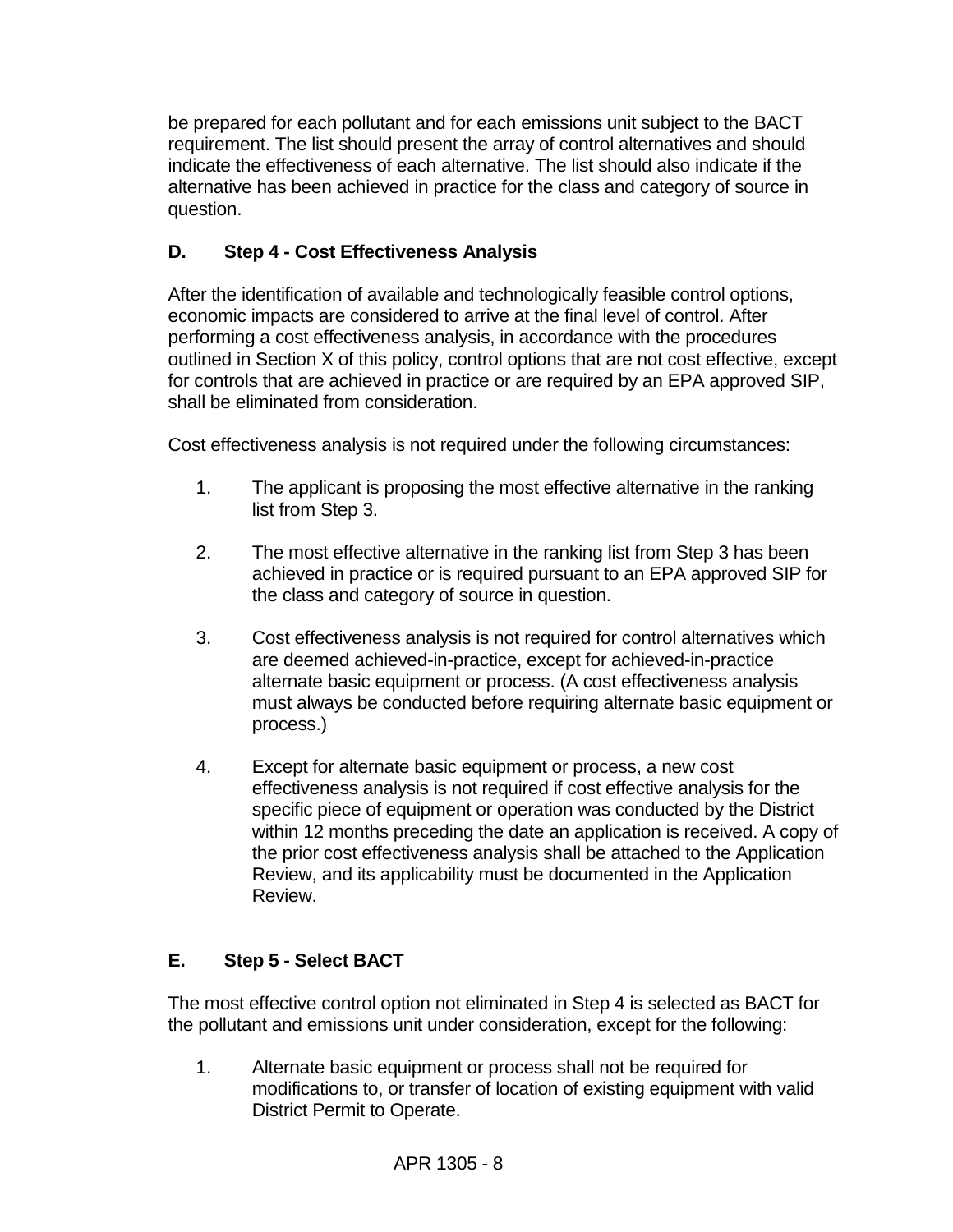be prepared for each pollutant and for each emissions unit subject to the BACT requirement. The list should present the array of control alternatives and should indicate the effectiveness of each alternative. The list should also indicate if the alternative has been achieved in practice for the class and category of source in question.

### **D. Step 4 - Cost Effectiveness Analysis**

After the identification of available and technologically feasible control options, economic impacts are considered to arrive at the final level of control. After performing a cost effectiveness analysis, in accordance with the procedures outlined in Section X of this policy, control options that are not cost effective, except for controls that are achieved in practice or are required by an EPA approved SIP, shall be eliminated from consideration.

Cost effectiveness analysis is not required under the following circumstances:

- 1. The applicant is proposing the most effective alternative in the ranking list from Step 3.
- 2. The most effective alternative in the ranking list from Step 3 has been achieved in practice or is required pursuant to an EPA approved SIP for the class and category of source in question.
- 3. Cost effectiveness analysis is not required for control alternatives which are deemed achieved-in-practice, except for achieved-in-practice alternate basic equipment or process. (A cost effectiveness analysis must always be conducted before requiring alternate basic equipment or process.)
- 4. Except for alternate basic equipment or process, a new cost effectiveness analysis is not required if cost effective analysis for the specific piece of equipment or operation was conducted by the District within 12 months preceding the date an application is received. A copy of the prior cost effectiveness analysis shall be attached to the Application Review, and its applicability must be documented in the Application Review.

## **E. Step 5 - Select BACT**

The most effective control option not eliminated in Step 4 is selected as BACT for the pollutant and emissions unit under consideration, except for the following:

1. Alternate basic equipment or process shall not be required for modifications to, or transfer of location of existing equipment with valid District Permit to Operate.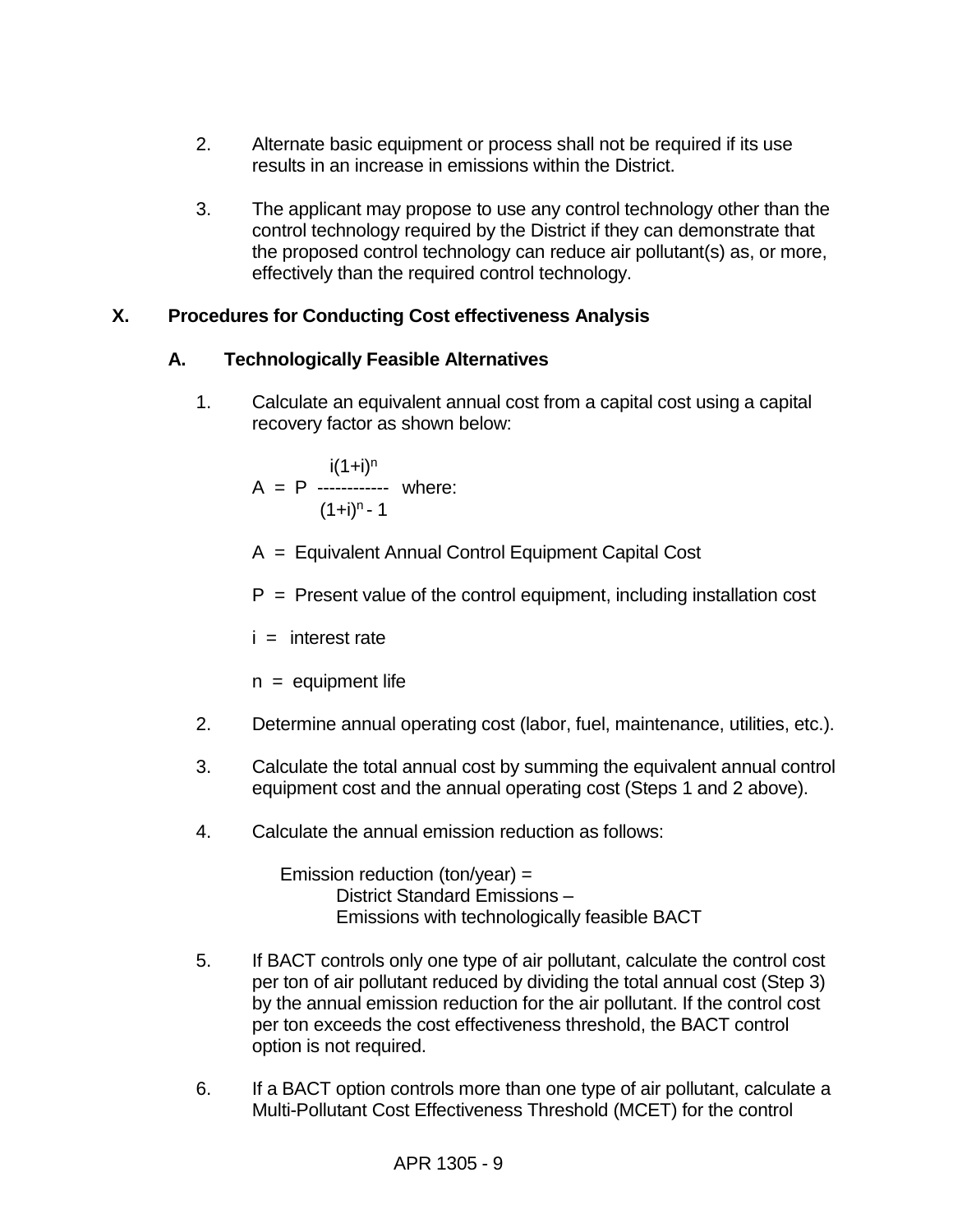- 2. Alternate basic equipment or process shall not be required if its use results in an increase in emissions within the District.
- 3. The applicant may propose to use any control technology other than the control technology required by the District if they can demonstrate that the proposed control technology can reduce air pollutant(s) as, or more, effectively than the required control technology.

### **X. Procedures for Conducting Cost effectiveness Analysis**

#### **A. Technologically Feasible Alternatives**

1. Calculate an equivalent annual cost from a capital cost using a capital recovery factor as shown below:

$$
A = P
$$
  

$$
A = P
$$
  

$$
(1+i)^{n} - 1
$$
  

$$
(1+i)^{n} - 1
$$

- A = Equivalent Annual Control Equipment Capital Cost
- $P =$  Present value of the control equipment, including installation cost

 $i =$  interest rate

 $n =$  equipment life

- 2. Determine annual operating cost (labor, fuel, maintenance, utilities, etc.).
- 3. Calculate the total annual cost by summing the equivalent annual control equipment cost and the annual operating cost (Steps 1 and 2 above).
- 4. Calculate the annual emission reduction as follows:

Emission reduction (ton/year) = District Standard Emissions – Emissions with technologically feasible BACT

- 5. If BACT controls only one type of air pollutant, calculate the control cost per ton of air pollutant reduced by dividing the total annual cost (Step 3) by the annual emission reduction for the air pollutant. If the control cost per ton exceeds the cost effectiveness threshold, the BACT control option is not required.
- 6. If a BACT option controls more than one type of air pollutant, calculate a Multi-Pollutant Cost Effectiveness Threshold (MCET) for the control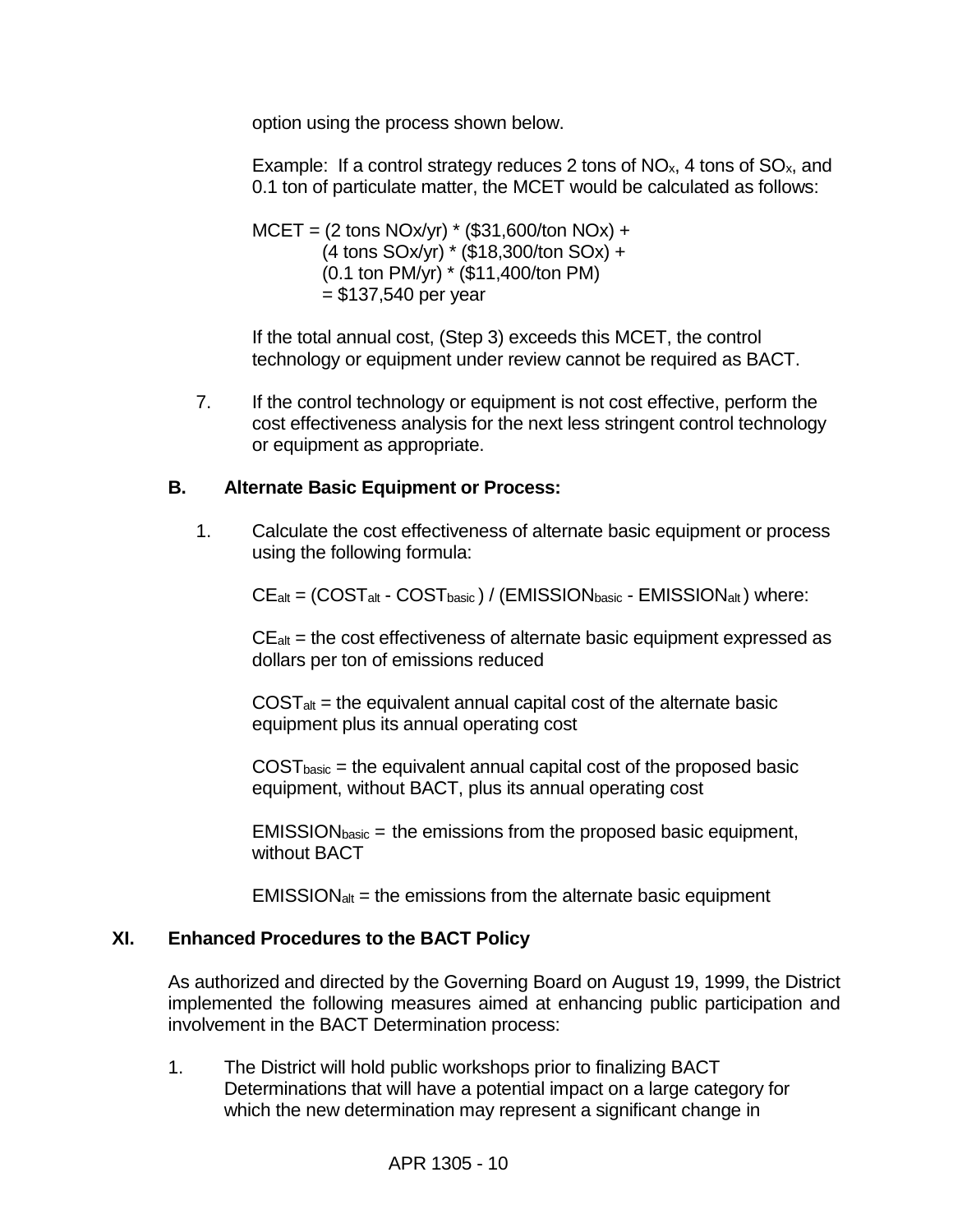option using the process shown below.

Example: If a control strategy reduces 2 tons of  $NO<sub>x</sub>$ , 4 tons of  $SO<sub>x</sub>$ , and 0.1 ton of particulate matter, the MCET would be calculated as follows:

 $MCET = (2 \text{ tons } NOx/yr) * ($31,600/ton NOx) +$ (4 tons SOx/yr) \* (\$18,300/ton SOx) + (0.1 ton PM/yr) \* (\$11,400/ton PM)  $= $137,540$  per year

If the total annual cost, (Step 3) exceeds this MCET, the control technology or equipment under review cannot be required as BACT.

7. If the control technology or equipment is not cost effective, perform the cost effectiveness analysis for the next less stringent control technology or equipment as appropriate.

#### **B. Alternate Basic Equipment or Process:**

1. Calculate the cost effectiveness of alternate basic equipment or process using the following formula:

 $CE_{alt} = (COST_{alt} - COST_{basic}) / (EMISSION_{basic} - EMISSION_{alt})$  where:

 $CE<sub>alt</sub>$  = the cost effectiveness of alternate basic equipment expressed as dollars per ton of emissions reduced

 $COST<sub>alt</sub>$  = the equivalent annual capital cost of the alternate basic equipment plus its annual operating cost

 $COST<sub>basic</sub>$  = the equivalent annual capital cost of the proposed basic equipment, without BACT, plus its annual operating cost

 $EMISSION<sub>basic</sub> =$  the emissions from the proposed basic equipment, without BACT

 $EMISSION<sub>alt</sub> =$  the emissions from the alternate basic equipment

#### **XI. Enhanced Procedures to the BACT Policy**

As authorized and directed by the Governing Board on August 19, 1999, the District implemented the following measures aimed at enhancing public participation and involvement in the BACT Determination process:

1. The District will hold public workshops prior to finalizing BACT Determinations that will have a potential impact on a large category for which the new determination may represent a significant change in